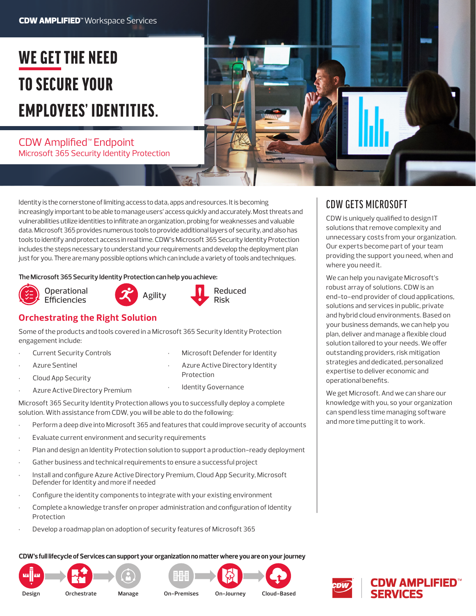# WE GET THE NEED TO SECURE YOUR EMPLOYEES' IDENTITIES.

# CDW Amplified™ Endpoint Microsoft 365 Security Identity Protection

Identity is the cornerstone of limiting access to data, apps and resources. It is becoming increasingly important to be able to manage users' access quickly and accurately. Most threats and vulnerabilities utilize identities to infiltrate an organization, probing for weaknesses and valuable data. Microsoft 365 provides numerous tools to provide additional layers of security, and also has tools to identify and protect access in real time. CDW's Microsoft 365 Security Identity Protection includes the steps necessary to understand your requirements and develop the deployment plan just for you. There are many possible options which can include a variety of tools and techniques.

### **The Microsoft 365 Security Identity Protection can help you achieve:**









# **Orchestrating the Right Solution**

Some of the products and tools covered in a Microsoft 365 Security Identity Protection engagement include:

- **Current Security Controls**
- Azure Sentinel
- Cloud App Security
- Azure Active Directory Premium
- Protection **Identity Governance**

• Microsoft Defender for Identity • Azure Active Directory Identity

Microsoft 365 Security Identity Protection allows you to successfully deploy a complete solution. With assistance from CDW, you will be able to do the following:

- Perform a deep dive into Microsoft 365 and features that could improve security of accounts
- Evaluate current environment and security requirements
- Plan and design an Identity Protection solution to support a production-ready deployment
- Gather business and technical requirements to ensure a successful project
- Install and configure Azure Active Directory Premium, Cloud App Security, Microsoft Defender for Identity and more if needed
- Configure the identity components to integrate with your existing environment
- Complete a knowledge transfer on proper administration and configuration of Identity Protection
- Develop a roadmap plan on adoption of security features of Microsoft 365

### **CDW's full lifecycle of Services can support your organization no matter where you are on your journey**







# CDW GETS MICROSOFT

CDW is uniquely qualified to design IT solutions that remove complexity and unnecessary costs from your organization. Our experts become part of your team providing the support you need, when and where you need it.

We can help you navigate Microsoft's robust array of solutions. CDW is an end-to-end provider of cloud applications, solutions and services in public, private and hybrid cloud environments. Based on your business demands, we can help you plan, deliver and manage a flexible cloud solution tailored to your needs. We offer outstanding providers, risk mitigation strategies and dedicated, personalized expertise to deliver economic and operational benefits.

We get Microsoft. And we can share our knowledge with you, so your organization can spend less time managing software and more time putting it to work.